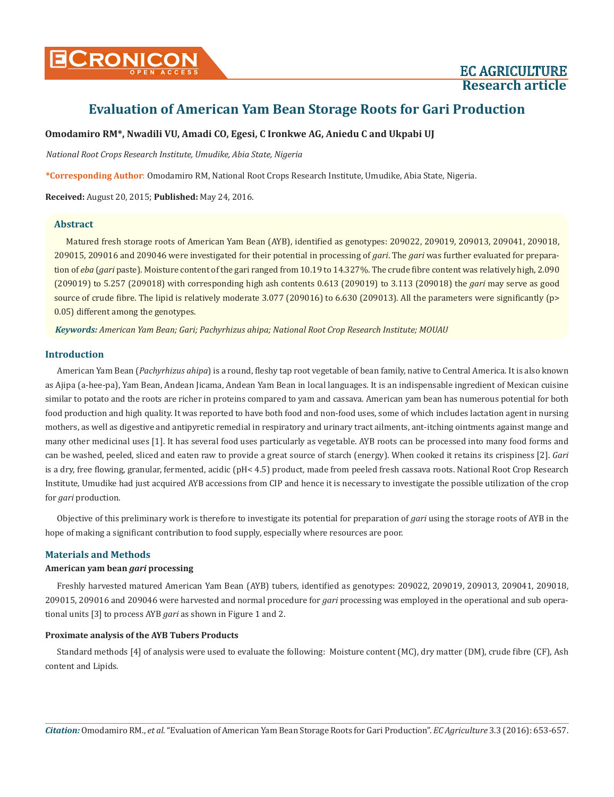**Research article**

# **Evaluation of American Yam Bean Storage Roots for Gari Production**

## **Omodamiro RM\*, Nwadili VU, Amadi CO, Egesi, C Ironkwe AG, Aniedu C and Ukpabi UJ**

*National Root Crops Research Institute, Umudike, Abia State, Nigeria*

**\*Corresponding Author**: Omodamiro RM, National Root Crops Research Institute, Umudike, Abia State, Nigeria.

**Received:** August 20, 2015; **Published:** May 24, 2016.

## **Abstract**

Matured fresh storage roots of American Yam Bean (AYB), identified as genotypes: 209022, 209019, 209013, 209041, 209018, 209015, 209016 and 209046 were investigated for their potential in processing of *gari*. The *gari* was further evaluated for preparation of *eba* (*gari* paste). Moisture content of the gari ranged from 10.19 to 14.327%. The crude fibre content was relatively high, 2.090 (209019) to 5.257 (209018) with corresponding high ash contents 0.613 (209019) to 3.113 (209018) the *gari* may serve as good source of crude fibre. The lipid is relatively moderate 3.077 (209016) to 6.630 (209013). All the parameters were significantly (p> 0.05) different among the genotypes.

*Keywords: American Yam Bean; Gari; Pachyrhizus ahipa; National Root Crop Research Institute; MOUAU*

#### **Introduction**

American Yam Bean (*Pachyrhizus ahipa*) is a round, fleshy tap root vegetable of bean family, native to Central America. It is also known as Ajipa (a-hee-pa), Yam Bean, Andean Jicama, Andean Yam Bean in local languages. It is an indispensable ingredient of Mexican cuisine similar to potato and the roots are richer in proteins compared to yam and cassava. American yam bean has numerous potential for both food production and high quality. It was reported to have both food and non-food uses, some of which includes lactation agent in nursing mothers, as well as digestive and antipyretic remedial in respiratory and urinary tract ailments, ant-itching ointments against mange and many other medicinal uses [1]. It has several food uses particularly as vegetable. AYB roots can be processed into many food forms and can be washed, peeled, sliced and eaten raw to provide a great source of starch (energy). When cooked it retains its crispiness [2]. *Gari*  is a dry, free flowing, granular, fermented, acidic (pH< 4.5) product, made from peeled fresh cassava roots. National Root Crop Research Institute, Umudike had just acquired AYB accessions from CIP and hence it is necessary to investigate the possible utilization of the crop for *gari* production.

Objective of this preliminary work is therefore to investigate its potential for preparation of *gari* using the storage roots of AYB in the hope of making a significant contribution to food supply, especially where resources are poor.

#### **Materials and Methods**

#### **American yam bean** *gari* **processing**

Freshly harvested matured American Yam Bean (AYB) tubers, identified as genotypes: 209022, 209019, 209013, 209041, 209018, 209015, 209016 and 209046 were harvested and normal procedure for *gari* processing was employed in the operational and sub operational units [3] to process AYB *gari* as shown in Figure 1 and 2.

#### **Proximate analysis of the AYB Tubers Products**

Standard methods [4] of analysis were used to evaluate the following: Moisture content (MC), dry matter (DM), crude fibre (CF), Ash content and Lipids.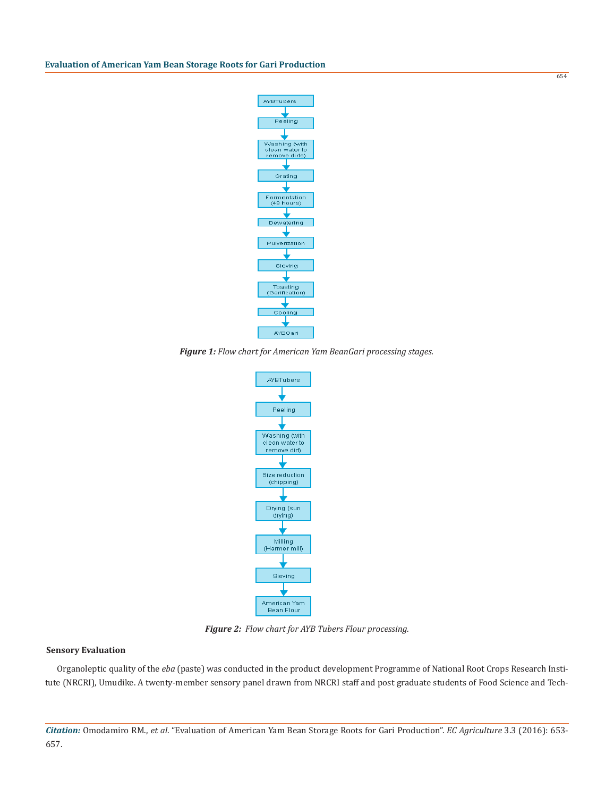

*Figure 1: Flow chart for American Yam BeanGari processing stages.*



*Figure 2: Flow chart for AYB Tubers Flour processing.*

#### **Sensory Evaluation**

Organoleptic quality of the *eba* (paste) was conducted in the product development Programme of National Root Crops Research Institute (NRCRI), Umudike. A twenty-member sensory panel drawn from NRCRI staff and post graduate students of Food Science and Tech-

654

*Citation:* Omodamiro RM., *et al*. "Evaluation of American Yam Bean Storage Roots for Gari Production". *EC Agriculture* 3.3 (2016): 653- 657.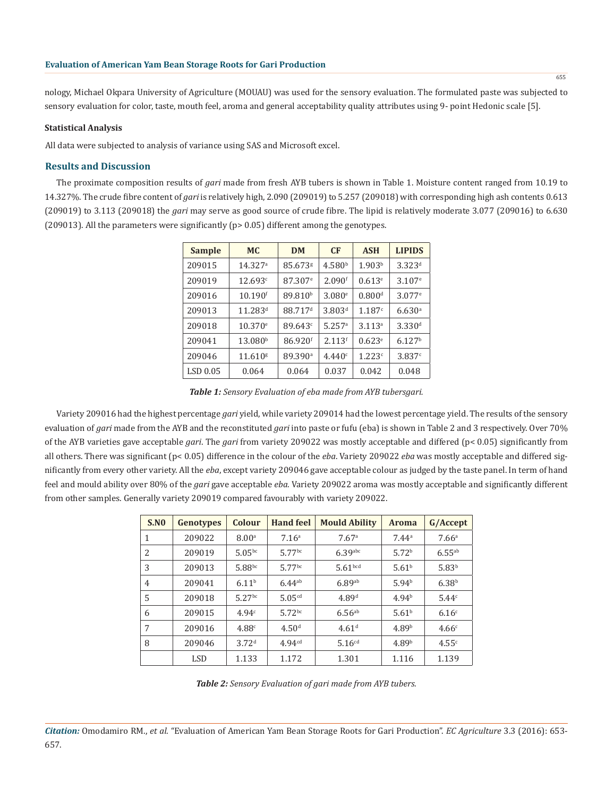nology, Michael Okpara University of Agriculture (MOUAU) was used for the sensory evaluation. The formulated paste was subjected to sensory evaluation for color, taste, mouth feel, aroma and general acceptability quality attributes using 9- point Hedonic scale [5].

#### **Statistical Analysis**

All data were subjected to analysis of variance using SAS and Microsoft excel.

#### **Results and Discussion**

The proximate composition results of *gari* made from fresh AYB tubers is shown in Table 1. Moisture content ranged from 10.19 to 14.327%. The crude fibre content of *gari* is relatively high, 2.090 (209019) to 5.257 (209018) with corresponding high ash contents 0.613 (209019) to 3.113 (209018) the *gari* may serve as good source of crude fibre. The lipid is relatively moderate 3.077 (209016) to 6.630 (209013). All the parameters were significantly (p> 0.05) different among the genotypes.

| <b>Sample</b> | MC <sub>1</sub>       | <b>DM</b>           | <b>CF</b>          | <b>ASH</b>         | <b>LIPIDS</b>        |
|---------------|-----------------------|---------------------|--------------------|--------------------|----------------------|
| 209015        | 14.327a               | 85.673g             | 4.580 <sup>b</sup> | 1.903 <sup>b</sup> | $3.323^{d}$          |
| 209019        | 12.693c               | 87.307 <sup>e</sup> | 2.090 <sup>f</sup> | $0.613^{\circ}$    | $3.107$ <sup>e</sup> |
| 209016        | $10.190$ <sup>f</sup> | 89.810 <sup>b</sup> | 3.080e             | 0.800 <sup>d</sup> | $3.077$ <sup>e</sup> |
| 209013        | $11.283^d$            | 88.717 <sup>d</sup> | 3.803 <sup>d</sup> | 1.187c             | 6.630a               |
| 209018        | 10.370e               | 89.643 <sup>c</sup> | 5.257 <sup>a</sup> | 3.113 <sup>a</sup> | 3.330 <sup>d</sup>   |
| 209041        | 13.080 <sup>b</sup>   | 86.920 <sup>f</sup> | 2.113 <sup>f</sup> | 0.623e             | 6.127 <sup>b</sup>   |
| 209046        | 11.610 <sup>g</sup>   | 89.390 <sup>a</sup> | 4.440c             | 1.223c             | 3.837c               |
| $LSD$ 0.05    | 0.064                 | 0.064               | 0.037              | 0.042              | 0.048                |

*Table 1: Sensory Evaluation of eba made from AYB tubersgari.*

Variety 209016 had the highest percentage *gari* yield, while variety 209014 had the lowest percentage yield. The results of the sensory evaluation of *gari* made from the AYB and the reconstituted *gari* into paste or fufu (eba) is shown in Table 2 and 3 respectively. Over 70% of the AYB varieties gave acceptable *gari*. The *gari* from variety 209022 was mostly acceptable and differed (p< 0.05) significantly from all others. There was significant (p< 0.05) difference in the colour of the *eba*. Variety 209022 *eba* was mostly acceptable and differed significantly from every other variety. All the *eba*, except variety 209046 gave acceptable colour as judged by the taste panel. In term of hand feel and mould ability over 80% of the *gari* gave acceptable *eba*. Variety 209022 aroma was mostly acceptable and significantly different from other samples. Generally variety 209019 compared favourably with variety 209022.

| S.N0 | Genotypes  | Colour               | <b>Hand feel</b>   | <b>Mould Ability</b> | <b>Aroma</b>      | G/Accept             |
|------|------------|----------------------|--------------------|----------------------|-------------------|----------------------|
| 1    | 209022     | 8.00 <sup>a</sup>    | 7.16 <sup>a</sup>  | 7.67a                | 7.44a             | 7.66 <sup>a</sup>    |
| 2    | 209019     | $5.05^{bc}$          | $5.77$ bc          | $6.39$ abc           | 5.72 <sup>b</sup> | $6.55$ <sup>ab</sup> |
| 3    | 209013     | 5.88bc               | $5.77$ bc          | 5.61 <sup>bcd</sup>  | 5.61 <sup>b</sup> | 5.83 <sup>b</sup>    |
| 4    | 209041     | 6.11 <sup>b</sup>    | $6.44^{ab}$        | 6.89ab               | 5.94 <sup>b</sup> | 6.38 <sup>b</sup>    |
| 5    | 209018     | $5.27$ <sup>bc</sup> | $5.05^{cd}$        | 4.89 <sup>d</sup>    | 4.94 <sup>b</sup> | 5.44c                |
| 6    | 209015     | 4.94c                | $5.72^{bc}$        | $6.56^{ab}$          | 5.61 <sup>b</sup> | 6.16 <sup>c</sup>    |
| 7    | 209016     | 4.88c                | 4.50 <sup>d</sup>  | 4.61 <sup>d</sup>    | 4.89 <sup>b</sup> | 4.66c                |
| 8    | 209046     | 3.72 <sup>d</sup>    | 4.94 <sup>cd</sup> | $5.16^{cd}$          | 4.89 <sup>b</sup> | 4.55c                |
|      | <b>LSD</b> | 1.133                | 1.172              | 1.301                | 1.116             | 1.139                |

*Table 2: Sensory Evaluation of gari made from AYB tubers.*

655

*Citation:* Omodamiro RM., *et al*. "Evaluation of American Yam Bean Storage Roots for Gari Production". *EC Agriculture* 3.3 (2016): 653- 657.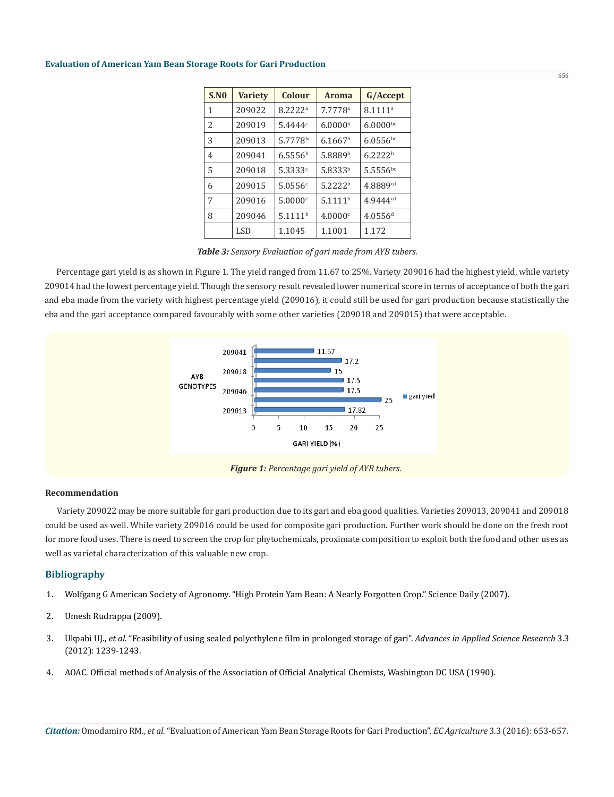# **Evaluation of American Yam Bean Storage Roots for Gari Production**

| <b>S.NO</b>    | <b>Variety</b> | Colour              | <b>Aroma</b>        | G/Accept              |
|----------------|----------------|---------------------|---------------------|-----------------------|
| 1              | 209022         | 8.2222 <sup>a</sup> | 7.7778a             | 8.1111 <sup>a</sup>   |
| $\mathfrak{D}$ | 209019         | 5.4444 <sup>c</sup> | 6.0000 <sup>b</sup> | $6.0000^{bc}$         |
| 3              | 209013         | 5.7778bc            | 6.1667 <sup>b</sup> | $6.0556^{bc}$         |
| 4              | 209041         | 6.5556 <sup>b</sup> | 5.8889 <sup>b</sup> | 6.2222 <sup>b</sup>   |
| 5              | 209018         | 5.3333 <sup>c</sup> | 5.8333b             | $5.5556^{bc}$         |
| 6              | 209015         | 5.0556c             | 5.2222 <sup>b</sup> | 4.8889 <sup>cd</sup>  |
| 7              | 209016         | 5.0000c             | 5.1111 <sup>b</sup> | $4.9444^{cd}$         |
| 8              | 209046         | 5.1111 <sup>b</sup> | 4.0000c             | $4.0556$ <sup>d</sup> |
|                | <b>LSD</b>     | 1.1045              | 1.1001              | 1.172                 |

*Table 3: Sensory Evaluation of gari made from AYB tubers.*

Percentage gari yield is as shown in Figure 1. The yield ranged from 11.67 to 25%. Variety 209016 had the highest yield, while variety 209014 had the lowest percentage yield. Though the sensory result revealed lower numerical score in terms of acceptance of both the gari and eba made from the variety with highest percentage yield (209016), it could still be used for gari production because statistically the eba and the gari acceptance compared favourably with some other varieties (209018 and 209015) that were acceptable.



#### **Recommendation**

Variety 209022 may be more suitable for gari production due to its gari and eba good qualities. Varieties 209013, 209041 and 209018 could be used as well. While variety 209016 could be used for composite gari production. Further work should be done on the fresh root for more food uses. There is need to screen the crop for phytochemicals, proximate composition to exploit both the food and other uses as well as varietal characterization of this valuable new crop.

#### **Bibliography**

- 1. Wolfgang G American Society of Agronomy. "High Protein Yam Bean: A Nearly Forgotten Crop." Science Daily (2007).
- 2. Umesh Rudrappa (2009).
- 3. Ukpabi UJ., *et al.* "Feasibility of using sealed polyethylene film in prolonged storage of gari". *Advances in Applied Science Research* 3.3 (2012): 1239-1243.
- 4. AOAC. Official methods of Analysis of the Association of Official Analytical Chemists, Washington DC USA (1990).

656